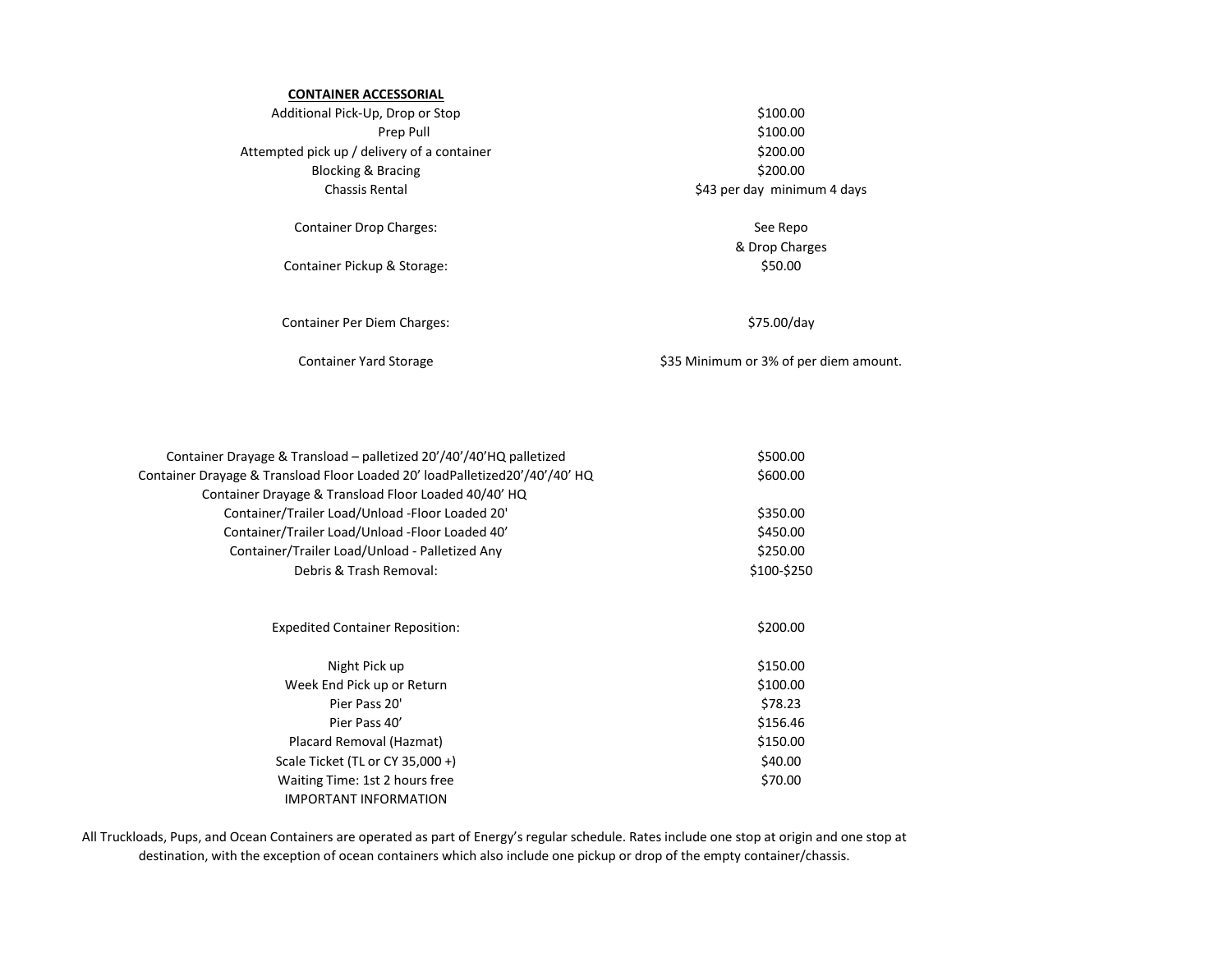## **CONTAINER ACCESSORIAL**

Additional Pick-Up, Drop or Stop \$100.00 Prep Pull **Example 2018** S100.00 Attempted pick up / delivery of a container  $$200.00$ Blocking & Bracing  $\approx$  800.00 Chassis Rental **Example 2018** Chassis Rental **Example 2018** Chassis Rental

Container Drop Charges: See Repo

Container Pickup & Storage:  $$50.00$ 

Container Per Diem Charges:  $$75.00/day$ 

& Drop Charges

Container Yard Storage \$35 Minimum or 3% of per diem amount.

| Container Drayage & Transload – palletized 20'/40'/40'HQ palletized         | \$500.00    |
|-----------------------------------------------------------------------------|-------------|
| Container Drayage & Transload Floor Loaded 20' loadPalletized20'/40'/40' HQ | \$600.00    |
| Container Drayage & Transload Floor Loaded 40/40' HQ                        |             |
| Container/Trailer Load/Unload -Floor Loaded 20'                             | \$350.00    |
| Container/Trailer Load/Unload -Floor Loaded 40'                             | \$450.00    |
| Container/Trailer Load/Unload - Palletized Any                              | \$250.00    |
| Debris & Trash Removal:                                                     | \$100-\$250 |
|                                                                             |             |
| <b>Expedited Container Reposition:</b>                                      | \$200.00    |
| Night Pick up                                                               | \$150.00    |
| Week End Pick up or Return                                                  | \$100.00    |
| Pier Pass 20'                                                               | \$78.23     |
| Pier Pass 40'                                                               | \$156.46    |
| Placard Removal (Hazmat)                                                    | \$150.00    |
| Scale Ticket (TL or CY 35,000 +)                                            | \$40.00     |
| Waiting Time: 1st 2 hours free                                              | \$70.00     |
| <b>IMPORTANT INFORMATION</b>                                                |             |

All Truckloads, Pups, and Ocean Containers are operated as part of Energy's regular schedule. Rates include one stop at origin and one stop at destination, with the exception of ocean containers which also include one pickup or drop of the empty container/chassis.